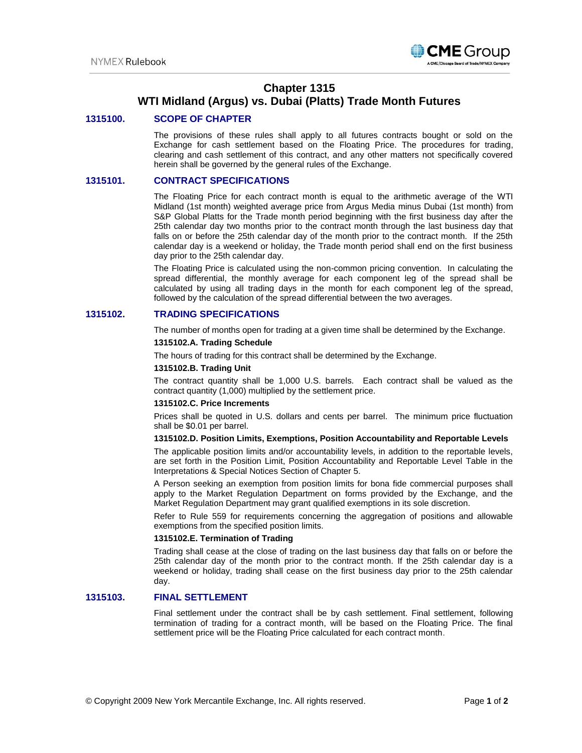

# **Chapter 1315**

# **WTI Midland (Argus) vs. Dubai (Platts) Trade Month Futures**

### **1315100. SCOPE OF CHAPTER**

The provisions of these rules shall apply to all futures contracts bought or sold on the Exchange for cash settlement based on the Floating Price. The procedures for trading, clearing and cash settlement of this contract, and any other matters not specifically covered herein shall be governed by the general rules of the Exchange.

## **1315101. CONTRACT SPECIFICATIONS**

The Floating Price for each contract month is equal to the arithmetic average of the WTI Midland (1st month) weighted average price from Argus Media minus Dubai (1st month) from S&P Global Platts for the Trade month period beginning with the first business day after the 25th calendar day two months prior to the contract month through the last business day that falls on or before the 25th calendar day of the month prior to the contract month. If the 25th calendar day is a weekend or holiday, the Trade month period shall end on the first business day prior to the 25th calendar day.

The Floating Price is calculated using the non-common pricing convention. In calculating the spread differential, the monthly average for each component leg of the spread shall be calculated by using all trading days in the month for each component leg of the spread, followed by the calculation of the spread differential between the two averages.

# **1315102. TRADING SPECIFICATIONS**

The number of months open for trading at a given time shall be determined by the Exchange.

#### **1315102.A. Trading Schedule**

The hours of trading for this contract shall be determined by the Exchange.

#### **1315102.B. Trading Unit**

The contract quantity shall be 1,000 U.S. barrels. Each contract shall be valued as the contract quantity (1,000) multiplied by the settlement price.

#### **1315102.C. Price Increments**

Prices shall be quoted in U.S. dollars and cents per barrel. The minimum price fluctuation shall be \$0.01 per barrel.

#### **1315102.D. Position Limits, Exemptions, Position Accountability and Reportable Levels**

The applicable position limits and/or accountability levels, in addition to the reportable levels, are set forth in the Position Limit, Position Accountability and Reportable Level Table in the Interpretations & Special Notices Section of Chapter 5.

A Person seeking an exemption from position limits for bona fide commercial purposes shall apply to the Market Regulation Department on forms provided by the Exchange, and the Market Regulation Department may grant qualified exemptions in its sole discretion.

Refer to Rule 559 for requirements concerning the aggregation of positions and allowable exemptions from the specified position limits.

### **1315102.E. Termination of Trading**

Trading shall cease at the close of trading on the last business day that falls on or before the 25th calendar day of the month prior to the contract month. If the 25th calendar day is a weekend or holiday, trading shall cease on the first business day prior to the 25th calendar day.

## **1315103. FINAL SETTLEMENT**

Final settlement under the contract shall be by cash settlement. Final settlement, following termination of trading for a contract month, will be based on the Floating Price. The final settlement price will be the Floating Price calculated for each contract month.